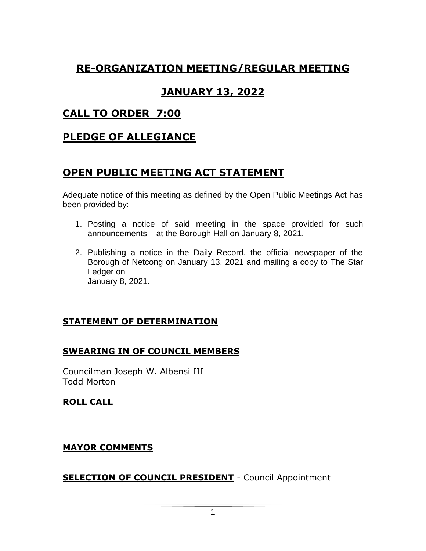## **RE-ORGANIZATION MEETING/REGULAR MEETING**

## **JANUARY 13, 2022**

## **CALL TO ORDER 7:00**

## **PLEDGE OF ALLEGIANCE**

## **OPEN PUBLIC MEETING ACT STATEMENT**

Adequate notice of this meeting as defined by the Open Public Meetings Act has been provided by:

- 1. Posting a notice of said meeting in the space provided for such announcements at the Borough Hall on January 8, 2021.
- 2. Publishing a notice in the Daily Record, the official newspaper of the Borough of Netcong on January 13, 2021 and mailing a copy to The Star Ledger on January 8, 2021.

### **STATEMENT OF DETERMINATION**

### **SWEARING IN OF COUNCIL MEMBERS**

Councilman Joseph W. Albensi III Todd Morton

### **ROLL CALL**

### **MAYOR COMMENTS**

**SELECTION OF COUNCIL PRESIDENT** - Council Appointment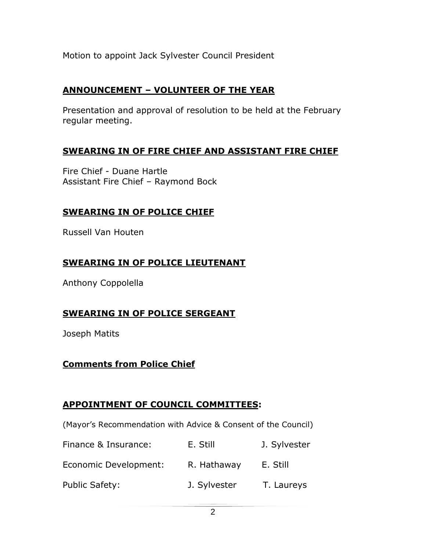Motion to appoint Jack Sylvester Council President

### **ANNOUNCEMENT – VOLUNTEER OF THE YEAR**

Presentation and approval of resolution to be held at the February regular meeting.

### **SWEARING IN OF FIRE CHIEF AND ASSISTANT FIRE CHIEF**

Fire Chief - Duane Hartle Assistant Fire Chief – Raymond Bock

## **SWEARING IN OF POLICE CHIEF**

Russell Van Houten

## **SWEARING IN OF POLICE LIEUTENANT**

Anthony Coppolella

## **SWEARING IN OF POLICE SERGEANT**

Joseph Matits

## **Comments from Police Chief**

## **APPOINTMENT OF COUNCIL COMMITTEES:**

(Mayor's Recommendation with Advice & Consent of the Council)

| Finance & Insurance:  | E. Still     | J. Sylvester |
|-----------------------|--------------|--------------|
| Economic Development: | R. Hathaway  | E. Still     |
| Public Safety:        | J. Sylvester | T. Laureys   |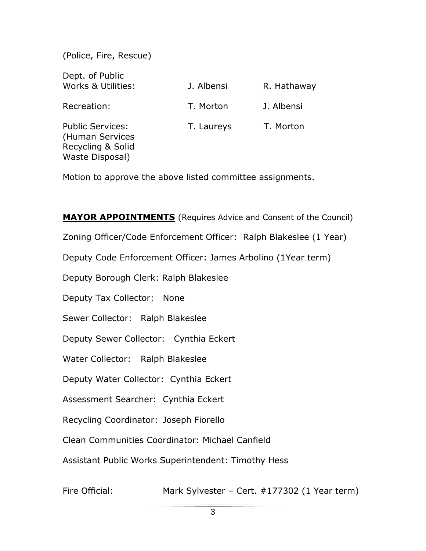(Police, Fire, Rescue)

| Dept. of Public<br><b>Works &amp; Utilities:</b>                                   | J. Albensi | R. Hathaway |
|------------------------------------------------------------------------------------|------------|-------------|
| Recreation:                                                                        | T. Morton  | J. Albensi  |
| <b>Public Services:</b><br>(Human Services<br>Recycling & Solid<br>Waste Disposal) | T. Laureys | T. Morton   |

Motion to approve the above listed committee assignments.

**MAYOR APPOINTMENTS** (Requires Advice and Consent of the Council) Zoning Officer/Code Enforcement Officer: Ralph Blakeslee (1 Year) Deputy Code Enforcement Officer: James Arbolino (1Year term) Deputy Borough Clerk: Ralph Blakeslee Deputy Tax Collector: None Sewer Collector: Ralph Blakeslee Deputy Sewer Collector: Cynthia Eckert Water Collector: Ralph Blakeslee Deputy Water Collector: Cynthia Eckert Assessment Searcher: Cynthia Eckert Recycling Coordinator: Joseph Fiorello Clean Communities Coordinator: Michael Canfield Assistant Public Works Superintendent: Timothy Hess

Fire Official: Mark Sylvester – Cert. #177302 (1 Year term)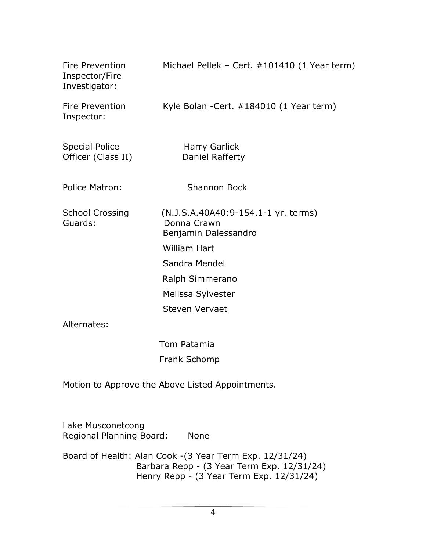| Fire Prevention<br>Inspector/Fire<br>Investigator: | Michael Pellek - Cert. #101410 (1 Year term)                               |
|----------------------------------------------------|----------------------------------------------------------------------------|
| Fire Prevention<br>Inspector:                      | Kyle Bolan - Cert. #184010 (1 Year term)                                   |
| <b>Special Police</b><br>Officer (Class II)        | Harry Garlick<br>Daniel Rafferty                                           |
| Police Matron:                                     | <b>Shannon Bock</b>                                                        |
| <b>School Crossing</b><br>Guards:                  | (N.J.S.A.40A40:9-154.1-1 yr. terms)<br>Donna Crawn<br>Benjamin Dalessandro |
|                                                    | <b>William Hart</b>                                                        |
|                                                    | Sandra Mendel                                                              |
|                                                    | Ralph Simmerano                                                            |
|                                                    | Melissa Sylvester                                                          |
|                                                    | <b>Steven Vervaet</b>                                                      |
| Alternates:                                        |                                                                            |
|                                                    |                                                                            |

 Tom Patamia Frank Schomp

Motion to Approve the Above Listed Appointments.

Lake Musconetcong Regional Planning Board: None

Board of Health: Alan Cook -(3 Year Term Exp. 12/31/24) Barbara Repp - (3 Year Term Exp. 12/31/24) Henry Repp - (3 Year Term Exp. 12/31/24)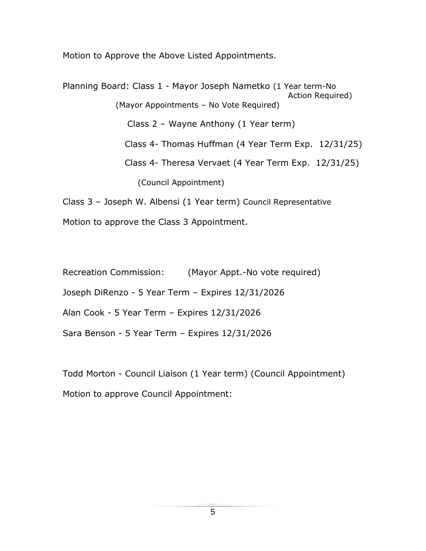Motion to Approve the Above Listed Appointments.

Planning Board: Class 1 - Mayor Joseph Nametko (1 Year term-No Action Required) (Mayor Appointments – No Vote Required) Class 2 – Wayne Anthony (1 Year term) Class 4- Thomas Huffman (4 Year Term Exp. 12/31/25) Class 4- Theresa Vervaet (4 Year Term Exp. 12/31/25) (Council Appointment)

Class 3 – Joseph W. Albensi (1 Year term) Council Representative Motion to approve the Class 3 Appointment.

Recreation Commission: (Mayor Appt.-No vote required)

Joseph DiRenzo - 5 Year Term – Expires 12/31/2026

Alan Cook - 5 Year Term – Expires 12/31/2026

Sara Benson - 5 Year Term – Expires 12/31/2026

Todd Morton - Council Liaison (1 Year term) (Council Appointment) Motion to approve Council Appointment: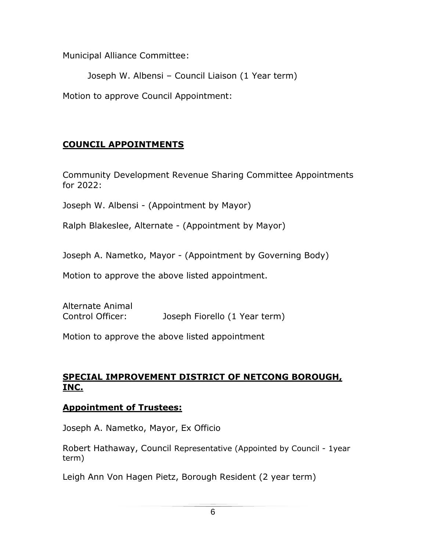Municipal Alliance Committee:

Joseph W. Albensi – Council Liaison (1 Year term)

Motion to approve Council Appointment:

## **COUNCIL APPOINTMENTS**

Community Development Revenue Sharing Committee Appointments for 2022:

Joseph W. Albensi - (Appointment by Mayor)

Ralph Blakeslee, Alternate - (Appointment by Mayor)

Joseph A. Nametko, Mayor - (Appointment by Governing Body)

Motion to approve the above listed appointment.

Alternate Animal Control Officer: Joseph Fiorello (1 Year term)

Motion to approve the above listed appointment

### **SPECIAL IMPROVEMENT DISTRICT OF NETCONG BOROUGH, INC.**

### **Appointment of Trustees:**

Joseph A. Nametko, Mayor, Ex Officio

Robert Hathaway, Council Representative (Appointed by Council - 1year term)

Leigh Ann Von Hagen Pietz, Borough Resident (2 year term)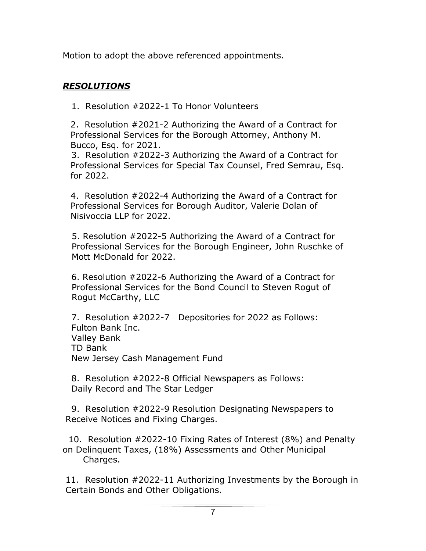Motion to adopt the above referenced appointments.

## *RESOLUTIONS*

1. Resolution #2022-1 To Honor Volunteers

2. Resolution #2021-2 Authorizing the Award of a Contract for Professional Services for the Borough Attorney, Anthony M. Bucco, Esq. for 2021.

 3. Resolution #2022-3 Authorizing the Award of a Contract for Professional Services for Special Tax Counsel, Fred Semrau, Esq. for 2022.

4. Resolution #2022-4 Authorizing the Award of a Contract for Professional Services for Borough Auditor, Valerie Dolan of Nisivoccia LLP for 2022.

5. Resolution #2022-5 Authorizing the Award of a Contract for Professional Services for the Borough Engineer, John Ruschke of Mott McDonald for 2022.

 6. Resolution #2022-6 Authorizing the Award of a Contract for Professional Services for the Bond Council to Steven Rogut of Rogut McCarthy, LLC

7. Resolution #2022-7 Depositories for 2022 as Follows: Fulton Bank Inc. Valley Bank TD Bank New Jersey Cash Management Fund

8. Resolution #2022-8 Official Newspapers as Follows: Daily Record and The Star Ledger

9. Resolution #2022-9 Resolution Designating Newspapers to Receive Notices and Fixing Charges.

10. Resolution #2022-10 Fixing Rates of Interest (8%) and Penalty on Delinquent Taxes, (18%) Assessments and Other Municipal Charges.

11. Resolution #2022-11 Authorizing Investments by the Borough in Certain Bonds and Other Obligations.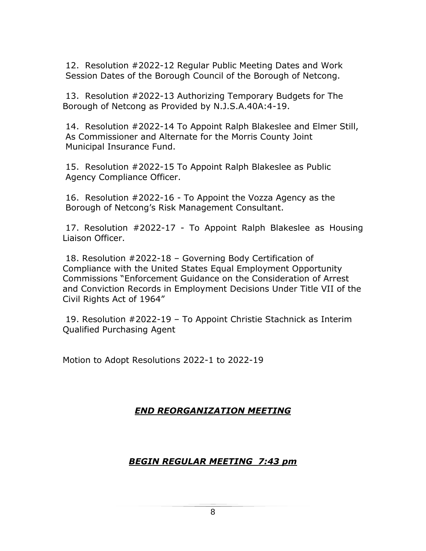12. Resolution #2022-12 Regular Public Meeting Dates and Work Session Dates of the Borough Council of the Borough of Netcong.

13. Resolution #2022-13 Authorizing Temporary Budgets for The Borough of Netcong as Provided by N.J.S.A.40A:4-19.

14. Resolution #2022-14 To Appoint Ralph Blakeslee and Elmer Still, As Commissioner and Alternate for the Morris County Joint Municipal Insurance Fund.

15. Resolution #2022-15 To Appoint Ralph Blakeslee as Public Agency Compliance Officer.

16. Resolution #2022-16 - To Appoint the Vozza Agency as the Borough of Netcong's Risk Management Consultant.

17. Resolution #2022-17 - To Appoint Ralph Blakeslee as Housing Liaison Officer.

18. Resolution #2022-18 – Governing Body Certification of Compliance with the United States Equal Employment Opportunity Commissions "Enforcement Guidance on the Consideration of Arrest and Conviction Records in Employment Decisions Under Title VII of the Civil Rights Act of 1964"

19. Resolution #2022-19 – To Appoint Christie Stachnick as Interim Qualified Purchasing Agent

Motion to Adopt Resolutions 2022-1 to 2022-19

### *END REORGANIZATION MEETING*

### *BEGIN REGULAR MEETING 7:43 pm*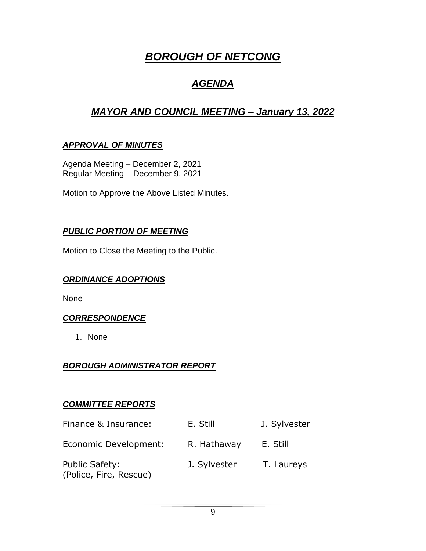# *BOROUGH OF NETCONG*

## *AGENDA*

## *MAYOR AND COUNCIL MEETING – January 13, 2022*

## *APPROVAL OF MINUTES*

Agenda Meeting – December 2, 2021 Regular Meeting – December 9, 2021

Motion to Approve the Above Listed Minutes.

### *PUBLIC PORTION OF MEETING*

Motion to Close the Meeting to the Public.

### *ORDINANCE ADOPTIONS*

None

### *CORRESPONDENCE*

1. None

### *BOROUGH ADMINISTRATOR REPORT*

### *COMMITTEE REPORTS*

| Finance & Insurance:                     | E. Still     | J. Sylvester |
|------------------------------------------|--------------|--------------|
| Economic Development:                    | R. Hathaway  | E. Still     |
| Public Safety:<br>(Police, Fire, Rescue) | J. Sylvester | T. Laureys   |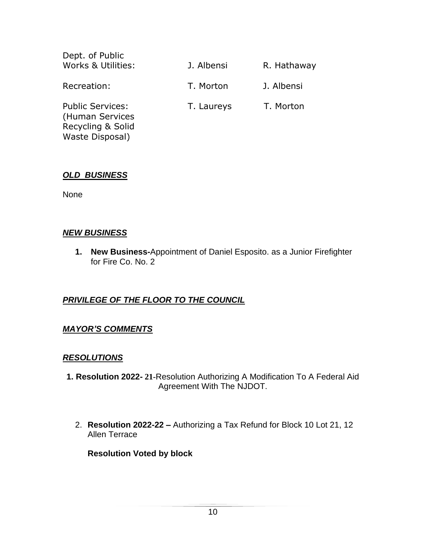| Dept. of Public                                                                    |            |             |
|------------------------------------------------------------------------------------|------------|-------------|
| Works & Utilities:                                                                 | J. Albensi | R. Hathaway |
| Recreation:                                                                        | T. Morton  | J. Albensi  |
| <b>Public Services:</b><br>(Human Services<br>Recycling & Solid<br>Waste Disposal) | T. Laureys | T. Morton   |

#### *OLD BUSINESS*

None

#### *NEW BUSINESS*

**1. New Business-**Appointment of Daniel Esposito. as a Junior Firefighter for Fire Co. No. 2

### *PRIVILEGE OF THE FLOOR TO THE COUNCIL*

#### *MAYOR'S COMMENTS*

#### *RESOLUTIONS*

- **1. Resolution 2022- 21-**Resolution Authorizing A Modification To A Federal Aid Agreement With The NJDOT.
	- 2. **Resolution 2022-22 –** Authorizing a Tax Refund for Block 10 Lot 21, 12 Allen Terrace

**Resolution Voted by block**